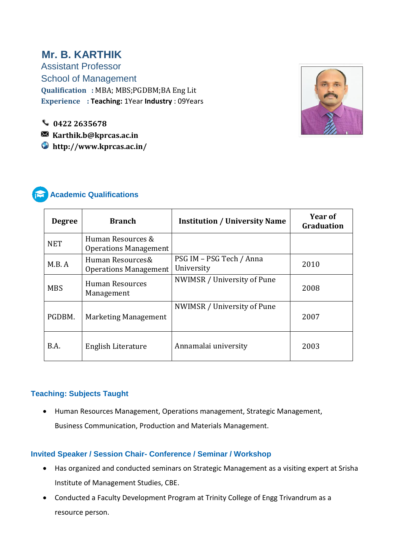# **Mr. B. KARTHIK**

Assistant Professor School of Management **Qualification :** MBA; MBS;PGDBM;BA Eng Lit **Experience : Teaching:** 1Year **Industry** : 09Years



j

**Karthik.b@kprcas.ac.in**

 **http://www.kprcas.ac.in/**



# **Academic Qualifications**

| <b>Degree</b> | <b>Branch</b>                                     | <b>Institution / University Name</b>   | Year of<br><b>Graduation</b> |
|---------------|---------------------------------------------------|----------------------------------------|------------------------------|
| <b>NET</b>    | Human Resources &<br><b>Operations Management</b> |                                        |                              |
| M.B. A        | Human Resources&<br><b>Operations Management</b>  | PSG IM - PSG Tech / Anna<br>University | 2010                         |
| <b>MBS</b>    | <b>Human Resources</b><br>Management              | NWIMSR / University of Pune            | 2008                         |
| PGDBM.        | Marketing Management                              | NWIMSR / University of Pune            | 2007                         |
| B.A.          | English Literature                                | Annamalai university                   | 2003                         |

#### **Teaching: Subjects Taught**

 Human Resources Management, Operations management, Strategic Management, Business Communication, Production and Materials Management.

#### **Invited Speaker / Session Chair- Conference / Seminar / Workshop**

- Has organized and conducted seminars on Strategic Management as a visiting expert at Srisha Institute of Management Studies, CBE.
- Conducted a Faculty Development Program at Trinity College of Engg Trivandrum as a resource person.